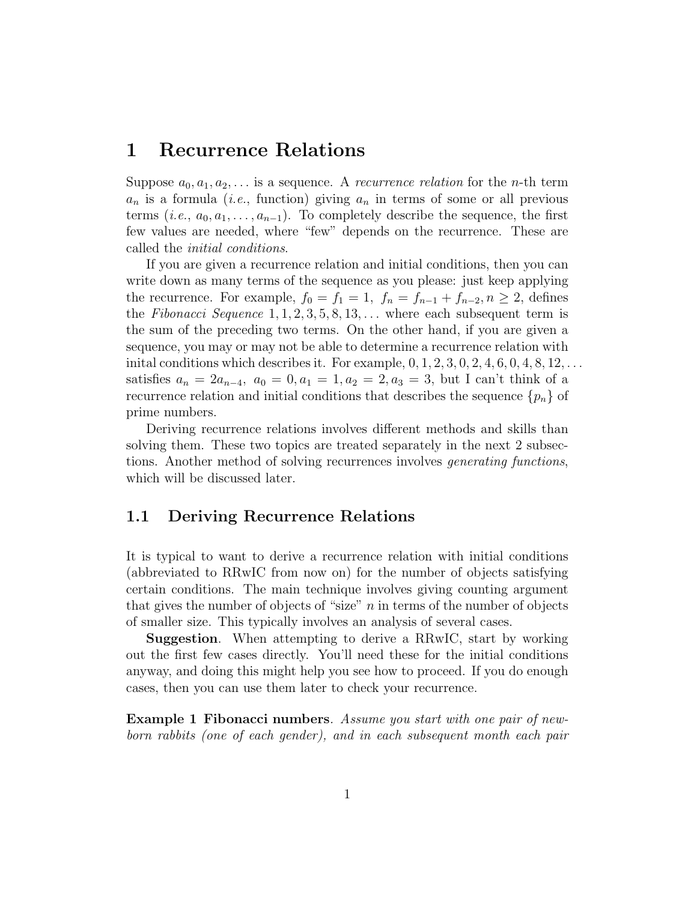## 1 Recurrence Relations

Suppose  $a_0, a_1, a_2, \ldots$  is a sequence. A *recurrence relation* for the *n*-th term  $a_n$  is a formula (*i.e.*, function) giving  $a_n$  in terms of some or all previous terms  $(i.e., a_0, a_1, \ldots, a_{n-1})$ . To completely describe the sequence, the first few values are needed, where "few" depends on the recurrence. These are called the initial conditions.

If you are given a recurrence relation and initial conditions, then you can write down as many terms of the sequence as you please: just keep applying the recurrence. For example,  $f_0 = f_1 = 1$ ,  $f_n = f_{n-1} + f_{n-2}$ ,  $n \geq 2$ , defines the Fibonacci Sequence  $1, 1, 2, 3, 5, 8, 13, \ldots$  where each subsequent term is the sum of the preceding two terms. On the other hand, if you are given a sequence, you may or may not be able to determine a recurrence relation with inital conditions which describes it. For example,  $0, 1, 2, 3, 0, 2, 4, 6, 0, 4, 8, 12, \ldots$ satisfies  $a_n = 2a_{n-4}$ ,  $a_0 = 0$ ,  $a_1 = 1$ ,  $a_2 = 2$ ,  $a_3 = 3$ , but I can't think of a recurrence relation and initial conditions that describes the sequence  ${p_n}$  of prime numbers.

Deriving recurrence relations involves different methods and skills than solving them. These two topics are treated separately in the next 2 subsections. Another method of solving recurrences involves generating functions, which will be discussed later.

## 1.1 Deriving Recurrence Relations

It is typical to want to derive a recurrence relation with initial conditions (abbreviated to RRwIC from now on) for the number of objects satisfying certain conditions. The main technique involves giving counting argument that gives the number of objects of "size"  $n$  in terms of the number of objects of smaller size. This typically involves an analysis of several cases.

Suggestion. When attempting to derive a RRwIC, start by working out the first few cases directly. You'll need these for the initial conditions anyway, and doing this might help you see how to proceed. If you do enough cases, then you can use them later to check your recurrence.

Example 1 Fibonacci numbers. Assume you start with one pair of newborn rabbits (one of each gender), and in each subsequent month each pair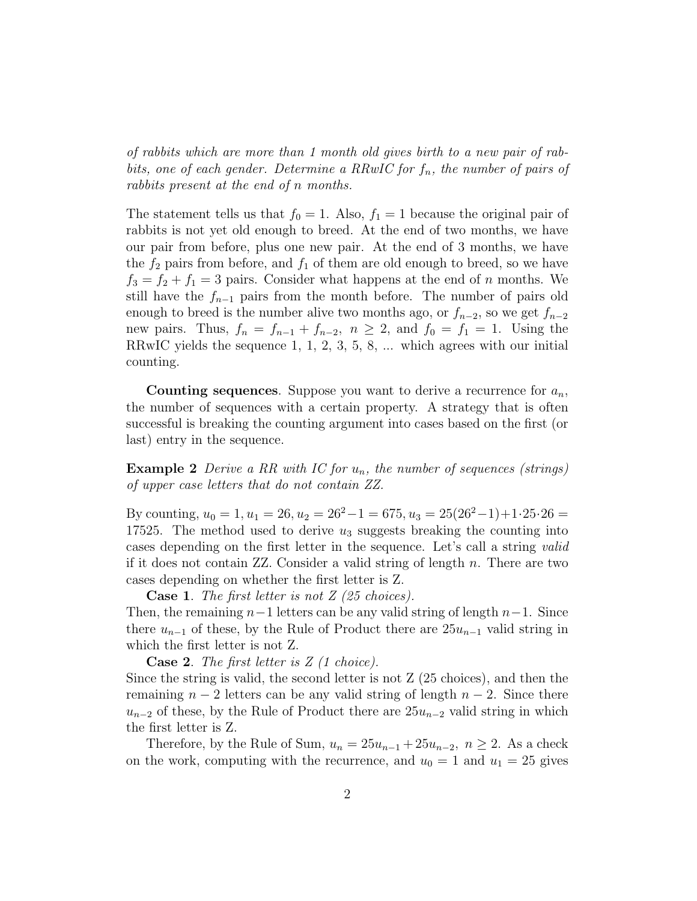of rabbits which are more than 1 month old gives birth to a new pair of rabbits, one of each gender. Determine a RRwIC for  $f_n$ , the number of pairs of rabbits present at the end of n months.

The statement tells us that  $f_0 = 1$ . Also,  $f_1 = 1$  because the original pair of rabbits is not yet old enough to breed. At the end of two months, we have our pair from before, plus one new pair. At the end of 3 months, we have the  $f_2$  pairs from before, and  $f_1$  of them are old enough to breed, so we have  $f_3 = f_2 + f_1 = 3$  pairs. Consider what happens at the end of n months. We still have the  $f_{n-1}$  pairs from the month before. The number of pairs old enough to breed is the number alive two months ago, or  $f_{n-2}$ , so we get  $f_{n-2}$ new pairs. Thus,  $f_n = f_{n-1} + f_{n-2}$ ,  $n \ge 2$ , and  $f_0 = f_1 = 1$ . Using the RRwIC yields the sequence 1, 1, 2, 3, 5, 8, ... which agrees with our initial counting.

**Counting sequences**. Suppose you want to derive a recurrence for  $a_n$ , the number of sequences with a certain property. A strategy that is often successful is breaking the counting argument into cases based on the first (or last) entry in the sequence.

**Example 2** Derive a RR with IC for  $u_n$ , the number of sequences (strings) of upper case letters that do not contain ZZ.

By counting,  $u_0 = 1, u_1 = 26, u_2 = 26^2 - 1 = 675, u_3 = 25(26^2 - 1) + 1.25.26 =$ 17525. The method used to derive  $u_3$  suggests breaking the counting into cases depending on the first letter in the sequence. Let's call a string valid if it does not contain  $ZZ$ . Consider a valid string of length  $n$ . There are two cases depending on whether the first letter is Z.

**Case 1.** The first letter is not  $Z$  (25 choices).

Then, the remaining  $n-1$  letters can be any valid string of length  $n-1$ . Since there  $u_{n-1}$  of these, by the Rule of Product there are  $25u_{n-1}$  valid string in which the first letter is not Z.

**Case 2.** The first letter is  $Z(1)$  choice).

Since the string is valid, the second letter is not Z (25 choices), and then the remaining  $n-2$  letters can be any valid string of length  $n-2$ . Since there  $u_{n-2}$  of these, by the Rule of Product there are  $25u_{n-2}$  valid string in which the first letter is Z.

Therefore, by the Rule of Sum,  $u_n = 25u_{n-1} + 25u_{n-2}$ ,  $n \ge 2$ . As a check on the work, computing with the recurrence, and  $u_0 = 1$  and  $u_1 = 25$  gives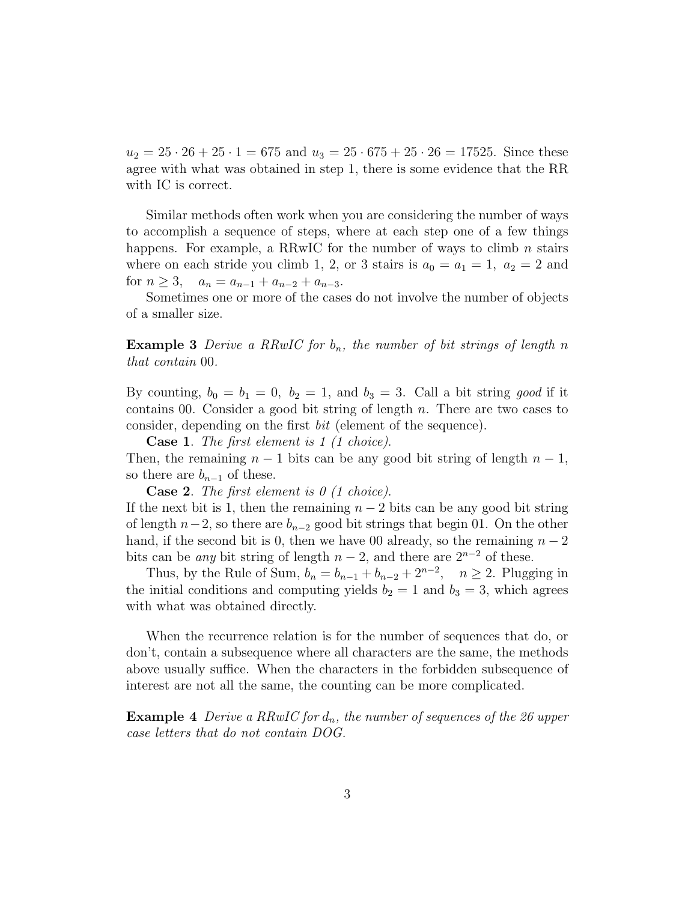$u_2 = 25 \cdot 26 + 25 \cdot 1 = 675$  and  $u_3 = 25 \cdot 675 + 25 \cdot 26 = 17525$ . Since these agree with what was obtained in step 1, there is some evidence that the RR with IC is correct.

Similar methods often work when you are considering the number of ways to accomplish a sequence of steps, where at each step one of a few things happens. For example, a RRwIC for the number of ways to climb  $n$  stairs where on each stride you climb 1, 2, or 3 stairs is  $a_0 = a_1 = 1$ ,  $a_2 = 2$  and for  $n \geq 3$ ,  $a_n = a_{n-1} + a_{n-2} + a_{n-3}$ .

Sometimes one or more of the cases do not involve the number of objects of a smaller size.

**Example 3** Derive a RRwIC for  $b_n$ , the number of bit strings of length n that contain 00.

By counting,  $b_0 = b_1 = 0$ ,  $b_2 = 1$ , and  $b_3 = 3$ . Call a bit string good if it contains 00. Consider a good bit string of length  $n$ . There are two cases to consider, depending on the first bit (element of the sequence).

Case 1. The first element is 1 (1 choice).

Then, the remaining  $n-1$  bits can be any good bit string of length  $n-1$ , so there are  $b_{n-1}$  of these.

**Case 2.** The first element is  $\theta$  (1 choice).

If the next bit is 1, then the remaining  $n-2$  bits can be any good bit string of length  $n-2$ , so there are  $b_{n-2}$  good bit strings that begin 01. On the other hand, if the second bit is 0, then we have 00 already, so the remaining  $n-2$ bits can be *any* bit string of length  $n-2$ , and there are  $2^{n-2}$  of these.

Thus, by the Rule of Sum,  $b_n = b_{n-1} + b_{n-2} + 2^{n-2}$ ,  $n \ge 2$ . Plugging in the initial conditions and computing yields  $b_2 = 1$  and  $b_3 = 3$ , which agrees with what was obtained directly.

When the recurrence relation is for the number of sequences that do, or don't, contain a subsequence where all characters are the same, the methods above usually suffice. When the characters in the forbidden subsequence of interest are not all the same, the counting can be more complicated.

**Example 4** Derive a RRwIC for  $d_n$ , the number of sequences of the 26 upper case letters that do not contain DOG.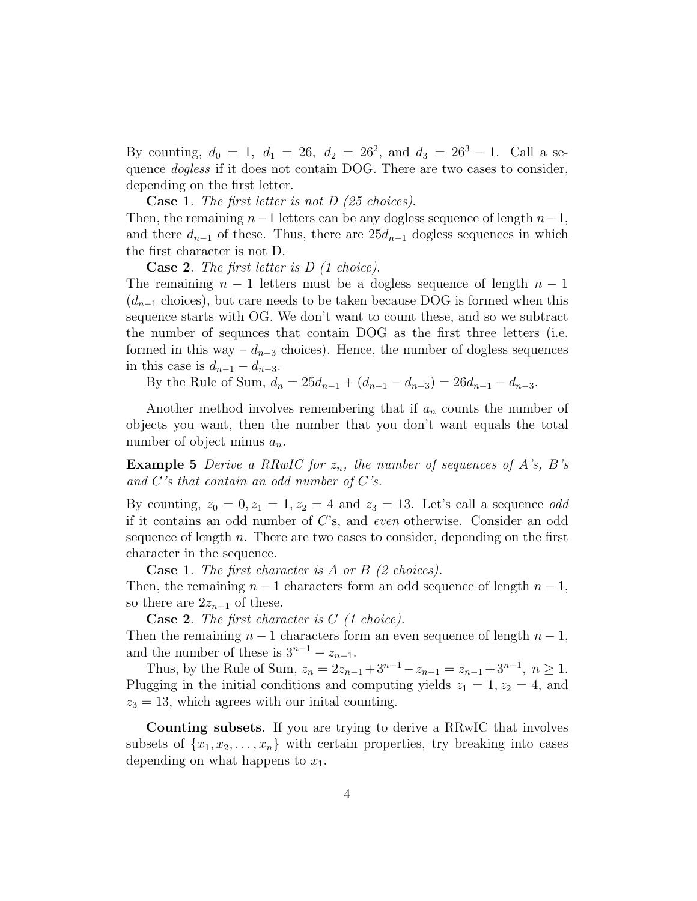By counting,  $d_0 = 1$ ,  $d_1 = 26$ ,  $d_2 = 26^2$ , and  $d_3 = 26^3 - 1$ . Call a sequence dogless if it does not contain DOG. There are two cases to consider, depending on the first letter.

**Case 1.** The first letter is not  $D$  (25 choices).

Then, the remaining  $n-1$  letters can be any dogless sequence of length  $n-1$ , and there  $d_{n-1}$  of these. Thus, there are  $25d_{n-1}$  dogless sequences in which the first character is not D.

**Case 2.** The first letter is  $D$  (1 choice).

The remaining  $n-1$  letters must be a dogless sequence of length  $n-1$  $(d_{n-1}$  choices), but care needs to be taken because DOG is formed when this sequence starts with OG. We don't want to count these, and so we subtract the number of sequnces that contain DOG as the first three letters (i.e. formed in this way –  $d_{n-3}$  choices). Hence, the number of dogless sequences in this case is  $d_{n-1} - d_{n-3}$ .

By the Rule of Sum,  $d_n = 25d_{n-1} + (d_{n-1} - d_{n-3}) = 26d_{n-1} - d_{n-3}$ .

Another method involves remembering that if  $a_n$  counts the number of objects you want, then the number that you don't want equals the total number of object minus  $a_n$ .

**Example 5** Derive a RRwIC for  $z_n$ , the number of sequences of A's, B's and  $C$ 's that contain an odd number of  $C$ 's.

By counting,  $z_0 = 0, z_1 = 1, z_2 = 4$  and  $z_3 = 13$ . Let's call a sequence *odd* if it contains an odd number of C's, and even otherwise. Consider an odd sequence of length  $n$ . There are two cases to consider, depending on the first character in the sequence.

**Case 1.** The first character is A or B  $(2 \text{ choices})$ .

Then, the remaining  $n-1$  characters form an odd sequence of length  $n-1$ , so there are  $2z_{n-1}$  of these.

**Case 2.** The first character is  $C$  (1 choice). Then the remaining  $n-1$  characters form an even sequence of length  $n-1$ , and the number of these is  $3^{n-1} - z_{n-1}$ .

Thus, by the Rule of Sum,  $z_n = 2z_{n-1} + 3^{n-1} - z_{n-1} = z_{n-1} + 3^{n-1}$ ,  $n \ge 1$ . Plugging in the initial conditions and computing yields  $z_1 = 1, z_2 = 4$ , and  $z_3 = 13$ , which agrees with our initial counting.

Counting subsets. If you are trying to derive a RRwIC that involves subsets of  $\{x_1, x_2, \ldots, x_n\}$  with certain properties, try breaking into cases depending on what happens to  $x_1$ .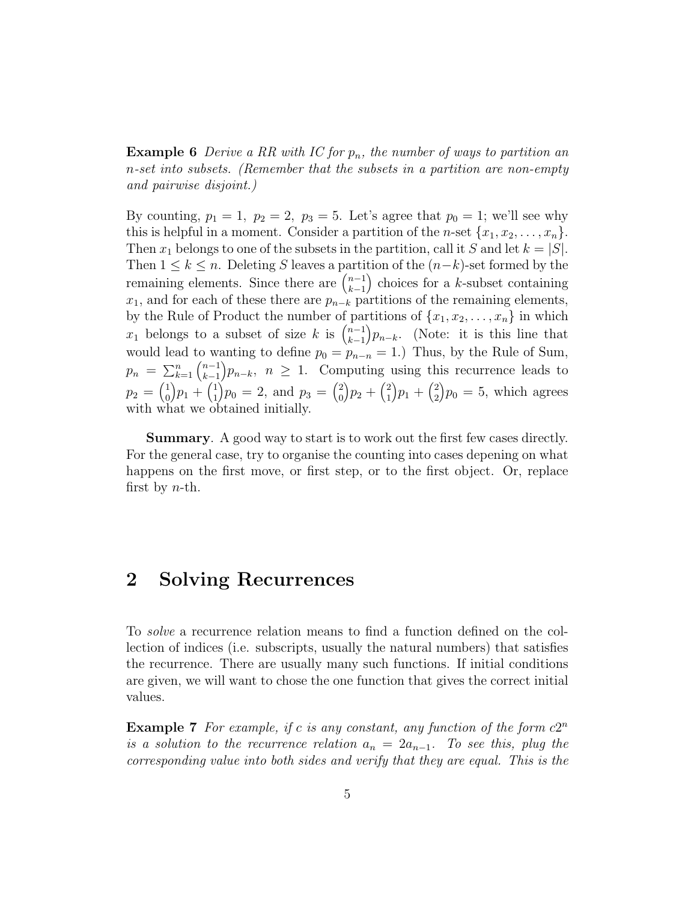**Example 6** Derive a RR with IC for  $p_n$ , the number of ways to partition an n-set into subsets. (Remember that the subsets in a partition are non-empty and pairwise disjoint.)

By counting,  $p_1 = 1$ ,  $p_2 = 2$ ,  $p_3 = 5$ . Let's agree that  $p_0 = 1$ ; we'll see why this is helpful in a moment. Consider a partition of the *n*-set  $\{x_1, x_2, \ldots, x_n\}$ . Then  $x_1$  belongs to one of the subsets in the partition, call it S and let  $k = |S|$ . Then  $1 \leq k \leq n$ . Deleting S leaves a partition of the  $(n-k)$ -set formed by the remaining elements. Since there are  $\binom{n-1}{k-1}$  $k-1$ ) choices for a  $k$ -subset containing  $x_1$ , and for each of these there are  $p_{n-k}$  partitions of the remaining elements, by the Rule of Product the number of partitions of  $\{x_1, x_2, \ldots, x_n\}$  in which  $x_1$  belongs to a subset of size k is  $\binom{n-1}{k-1}$  $k-1$  $\big) p_{n-k}$ . (Note: it is this line that would lead to wanting to define  $p_0 = p_{n-n} = 1$ .) Thus, by the Rule of Sum,  $p_n = \sum_{k=1}^n \binom{n-1}{k-1}$  $k-1$  $\{p_{n-k}, n \geq 1$ . Computing using this recurrence leads to  $p_2 = \begin{pmatrix} 1 \\ 0 \end{pmatrix}$ 0  $\left(p_{1}+\left(p_{1}^{1}\right)\right)$ 1  $\binom{p_0}{0} = 2$ , and  $p_3 = \binom{2}{0}$  $\mathbf{0}$  $\left\{p_{2}+\right\}^{2}_{1}$ 1  $\left[ p_{1}+\left( p_{2}^{2}\right) \right]$ 2  $\mathcal{p}_0 = 5$ , which agrees with what we obtained initially.

Summary. A good way to start is to work out the first few cases directly. For the general case, try to organise the counting into cases depening on what happens on the first move, or first step, or to the first object. Or, replace first by  $n$ -th.

# 2 Solving Recurrences

To solve a recurrence relation means to find a function defined on the collection of indices (i.e. subscripts, usually the natural numbers) that satisfies the recurrence. There are usually many such functions. If initial conditions are given, we will want to chose the one function that gives the correct initial values.

**Example 7** For example, if c is any constant, any function of the form  $c2^n$ is a solution to the recurrence relation  $a_n = 2a_{n-1}$ . To see this, plug the corresponding value into both sides and verify that they are equal. This is the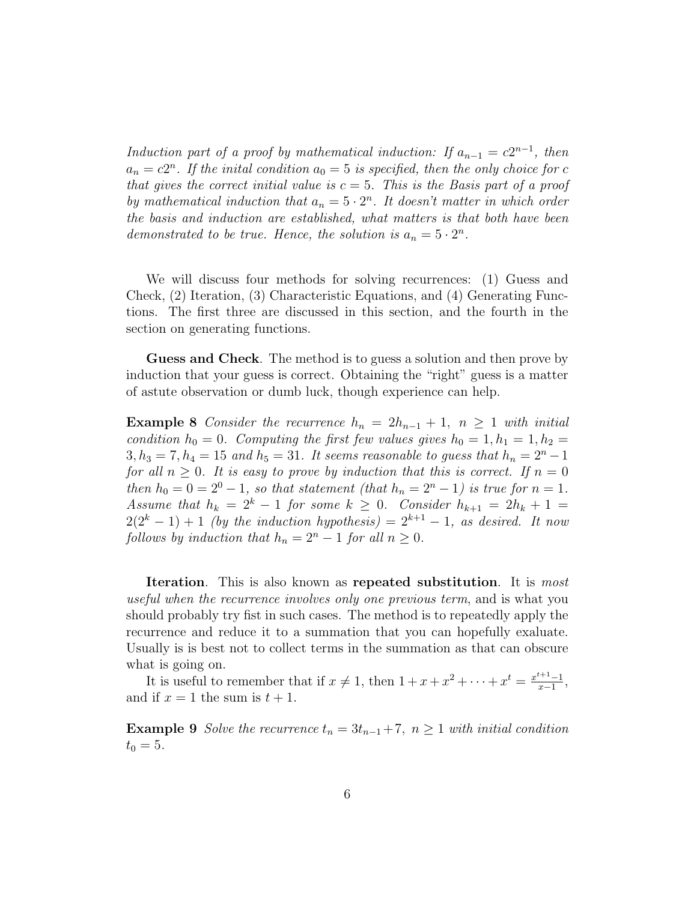Induction part of a proof by mathematical induction: If  $a_{n-1} = c2^{n-1}$ , then  $a_n = c2^n$ . If the initial condition  $a_0 = 5$  is specified, then the only choice for c that gives the correct initial value is  $c = 5$ . This is the Basis part of a proof by mathematical induction that  $a_n = 5 \cdot 2^n$ . It doesn't matter in which order the basis and induction are established, what matters is that both have been demonstrated to be true. Hence, the solution is  $a_n = 5 \cdot 2^n$ .

We will discuss four methods for solving recurrences: (1) Guess and Check, (2) Iteration, (3) Characteristic Equations, and (4) Generating Functions. The first three are discussed in this section, and the fourth in the section on generating functions.

Guess and Check. The method is to guess a solution and then prove by induction that your guess is correct. Obtaining the "right" guess is a matter of astute observation or dumb luck, though experience can help.

**Example 8** Consider the recurrence  $h_n = 2h_{n-1} + 1$ ,  $n \ge 1$  with initial condition  $h_0 = 0$ . Computing the first few values gives  $h_0 = 1, h_1 = 1, h_2 =$  $3, h_3 = 7, h_4 = 15$  and  $h_5 = 31$ . It seems reasonable to guess that  $h_n = 2^n - 1$ for all  $n \geq 0$ . It is easy to prove by induction that this is correct. If  $n = 0$ then  $h_0 = 0 = 2^0 - 1$ , so that statement (that  $h_n = 2^n - 1$ ) is true for  $n = 1$ . Assume that  $h_k = 2^k - 1$  for some  $k \geq 0$ . Consider  $h_{k+1} = 2h_k + 1$  $2(2<sup>k</sup> - 1) + 1$  (by the induction hypothesis) =  $2<sup>k+1</sup> - 1$ , as desired. It now follows by induction that  $h_n = 2^n - 1$  for all  $n \geq 0$ .

Iteration. This is also known as repeated substitution. It is *most* useful when the recurrence involves only one previous term, and is what you should probably try fist in such cases. The method is to repeatedly apply the recurrence and reduce it to a summation that you can hopefully exaluate. Usually is is best not to collect terms in the summation as that can obscure what is going on.

It is useful to remember that if  $x \neq 1$ , then  $1 + x + x^2 + \cdots + x^t = \frac{x^{t+1}-1}{x-1}$  $\frac{x+1-1}{x-1},$ and if  $x = 1$  the sum is  $t + 1$ .

**Example 9** Solve the recurrence  $t_n = 3t_{n-1} + 7$ ,  $n \ge 1$  with initial condition  $t_0 = 5$ .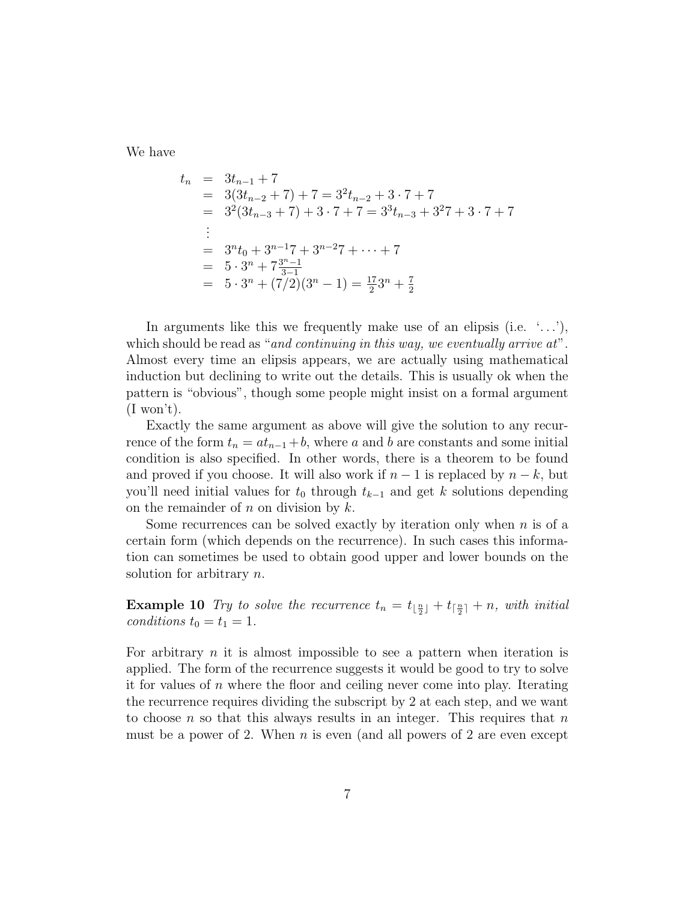We have

$$
t_n = 3t_{n-1} + 7
$$
  
= 3(3t\_{n-2} + 7) + 7 = 3<sup>2</sup>t\_{n-2} + 3 \cdot 7 + 7  
= 3<sup>2</sup>(3t\_{n-3} + 7) + 3 \cdot 7 + 7 = 3<sup>3</sup>t\_{n-3} + 3<sup>2</sup>7 + 3 \cdot 7 + 7  
:  
= 3<sup>n</sup>t<sub>0</sub> + 3<sup>n-1</sup>7 + 3<sup>n-2</sup>7 + \dots + 7  
= 5 \cdot 3<sup>n</sup> + 7<sup>3n-1</sup>/<sub>3-1</sub>  
= 5 \cdot 3<sup>n</sup> + (7/2)(3<sup>n</sup> - 1) =  $\frac{17}{2}$ 3<sup>n</sup> +  $\frac{7}{2}$ 

In arguments like this we frequently make use of an elipsis (i.e.  $\langle \ldots \rangle$ ), which should be read as "and continuing in this way, we eventually arrive at". Almost every time an elipsis appears, we are actually using mathematical induction but declining to write out the details. This is usually ok when the pattern is "obvious", though some people might insist on a formal argument  $(I$  won't).

Exactly the same argument as above will give the solution to any recurrence of the form  $t_n = at_{n-1} + b$ , where a and b are constants and some initial condition is also specified. In other words, there is a theorem to be found and proved if you choose. It will also work if  $n-1$  is replaced by  $n-k$ , but you'll need initial values for  $t_0$  through  $t_{k-1}$  and get k solutions depending on the remainder of  $n$  on division by  $k$ .

Some recurrences can be solved exactly by iteration only when  $n$  is of a certain form (which depends on the recurrence). In such cases this information can sometimes be used to obtain good upper and lower bounds on the solution for arbitrary *n*.

**Example 10** Try to solve the recurrence  $t_n = t_{\lfloor \frac{n}{2} \rfloor} + t_{\lceil \frac{n}{2} \rceil} + n$ , with initial conditions  $t_0 = t_1 = 1$ .

For arbitrary  $n$  it is almost impossible to see a pattern when iteration is applied. The form of the recurrence suggests it would be good to try to solve it for values of  $n$  where the floor and ceiling never come into play. Iterating the recurrence requires dividing the subscript by 2 at each step, and we want to choose n so that this always results in an integer. This requires that  $n$ must be a power of 2. When  $n$  is even (and all powers of 2 are even except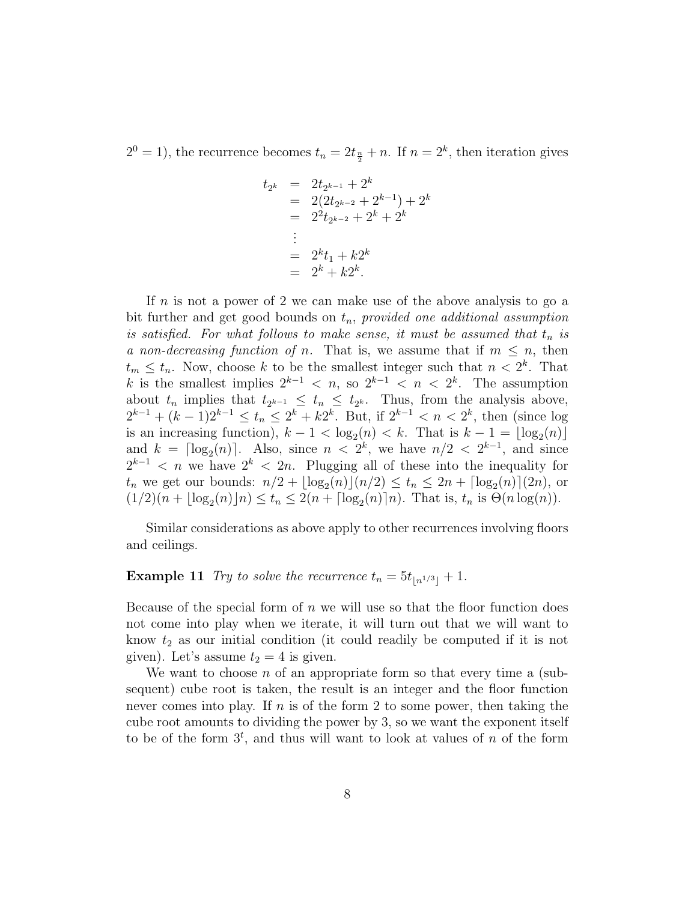$2^{0} = 1$ ), the recurrence becomes  $t_n = 2t_{\frac{n}{2}} + n$ . If  $n = 2^{k}$ , then iteration gives

$$
t_{2^k} = 2t_{2^{k-1}} + 2^k
$$
  
= 2(2t\_{2^{k-2}} + 2^{k-1}) + 2^k  
= 2^2t\_{2^{k-2}} + 2^k + 2^k  
:  
= 2^k t\_1 + k2^k  
= 2^k + k2^k.

If  $n$  is not a power of 2 we can make use of the above analysis to go a bit further and get good bounds on  $t_n$ , provided one additional assumption is satisfied. For what follows to make sense, it must be assumed that  $t_n$  is a non-decreasing function of n. That is, we assume that if  $m \leq n$ , then  $t_m \leq t_n$ . Now, choose k to be the smallest integer such that  $n < 2<sup>k</sup>$ . That k is the smallest implies  $2^{k-1} < n$ , so  $2^{k-1} < n < 2^k$ . The assumption about  $t_n$  implies that  $t_{2^{k-1}} \leq t_n \leq t_{2^k}$ . Thus, from the analysis above,  $2^{k-1} + (k-1)2^{k-1} \le t_n \le 2^k + k2^k$ . But, if  $2^{k-1} < n < 2^k$ , then (since log is an increasing function),  $k - 1 < \log_2(n) < k$ . That is  $k - 1 = \lfloor \log_2(n) \rfloor$ and  $k = \lceil \log_2(n) \rceil$ . Also, since  $n < 2^k$ , we have  $n/2 < 2^{k-1}$ , and since  $2^{k-1} < n$  we have  $2^k < 2n$ . Plugging all of these into the inequality for  $t_n$  we get our bounds:  $n/2 + \lfloor \log_2(n) \rfloor (n/2) \le t_n \le 2n + \lceil \log_2(n) \rceil (2n)$ , or  $(1/2)(n + \lfloor \log_2(n) \rfloor n) \le t_n \le 2(n + \lceil \log_2(n) \rceil n)$ . That is,  $t_n$  is  $\Theta(n \log(n))$ .

Similar considerations as above apply to other recurrences involving floors and ceilings.

#### **Example 11** Try to solve the recurrence  $t_n = 5t_{\lfloor n^{1/3} \rfloor} + 1$ .

Because of the special form of  $n$  we will use so that the floor function does not come into play when we iterate, it will turn out that we will want to know  $t_2$  as our initial condition (it could readily be computed if it is not given). Let's assume  $t_2 = 4$  is given.

We want to choose n of an appropriate form so that every time a (subsequent) cube root is taken, the result is an integer and the floor function never comes into play. If  $n$  is of the form 2 to some power, then taking the cube root amounts to dividing the power by 3, so we want the exponent itself to be of the form  $3^t$ , and thus will want to look at values of n of the form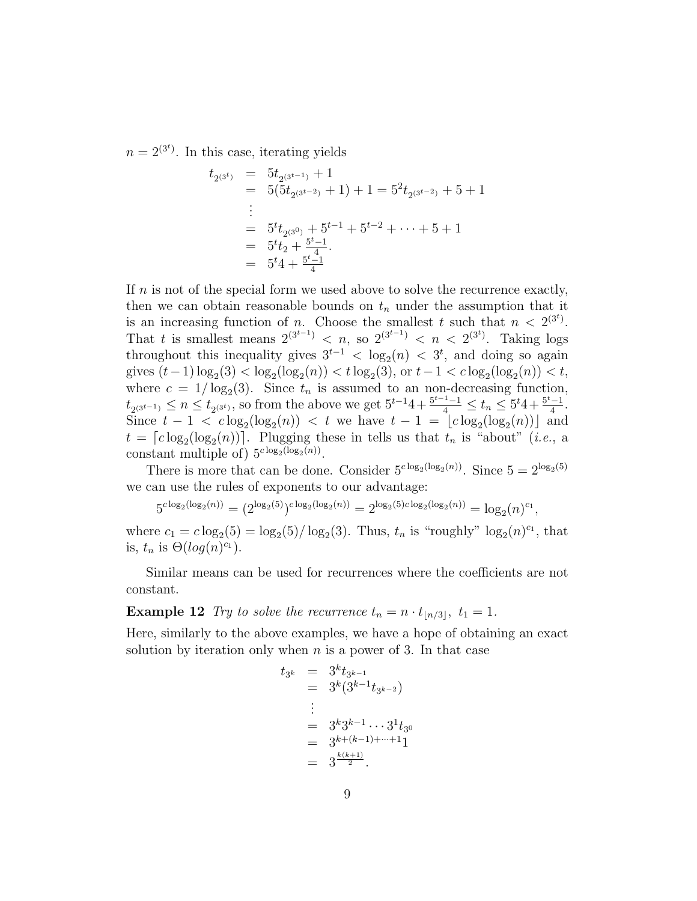$n = 2^{(3^t)}$ . In this case, iterating yields

$$
t_{2^{(3^t)}} = 5t_{2^{(3^{t-1})}} + 1
$$
  
= 5(5t\_{2^{(3^{t-2})}} + 1) + 1 = 5<sup>2</sup>t\_{2^{(3^{t-2})}} + 5 + 1  
...  
= 5<sup>tt</sup>t\_{2^{(3^0)}} + 5<sup>t-1</sup> + 5<sup>t-2</sup> + ... + 5 + 1  
= 5<sup>t</sup>t<sub>2</sub> + <sup>5t-1</sup><sub>4</sub>  
= 5<sup>t</sup>4 + <sup>5t-1</sup><sub>4</sub>

If  $n$  is not of the special form we used above to solve the recurrence exactly, then we can obtain reasonable bounds on  $t_n$  under the assumption that it is an increasing function of *n*. Choose the smallest t such that  $n < 2^{(3^t)}$ . That t is smallest means  $2^{(3^{t-1})} < n$ , so  $2^{(3^{t-1})} < n < 2^{(3^t)}$ . Taking logs throughout this inequality gives  $3^{t-1} < \log_2(n) < 3^t$ , and doing so again gives  $(t-1)\log_2(3) < \log_2(\log_2(n)) < t \log_2(3)$ , or  $t-1 < c \log_2(\log_2(n)) < t$ , where  $c = 1/\log_2(3)$ . Since  $t_n$  is assumed to an non-decreasing function,  $t_{2(3^{t-1})} \leq n \leq t_{2(3^t)}$ , so from the above we get  $5^{t-1}4 + \frac{5^{t-1}-1}{4} \leq t_n \leq 5^t 4 + \frac{5^{t}-1}{4}$  $\frac{-1}{4}$ . Since  $t - 1 < c \log_2(\log_2(n)) < t$  we have  $t - 1 = \lfloor c \log_2(\log_2(n)) \rfloor$  and  $t = \lceil c \log_2(\log_2(n)) \rceil$ . Plugging these in tells us that  $t_n$  is "about" (*i.e.*, a constant multiple of)  $5^{c \log_2(\log_2(n))}$ .

There is more that can be done. Consider  $5^{c \log_2(\log_2(n))}$ . Since  $5 = 2^{\log_2(5)}$ we can use the rules of exponents to our advantage:

$$
5^{c \log_2(\log_2(n))} = (2^{\log_2(5)})^{c \log_2(\log_2(n))} = 2^{\log_2(5) c \log_2(\log_2(n))} = \log_2(n)^{c_1},
$$

where  $c_1 = c \log_2(5) = \log_2(5) / \log_2(3)$ . Thus,  $t_n$  is "roughly"  $\log_2(n)^{c_1}$ , that is,  $t_n$  is  $\Theta(log(n)^{c_1})$ .

Similar means can be used for recurrences where the coefficients are not constant.

**Example 12** Try to solve the recurrence  $t_n = n \cdot t_{\lfloor n/3 \rfloor}, t_1 = 1$ .

Here, similarly to the above examples, we have a hope of obtaining an exact solution by iteration only when  $n$  is a power of 3. In that case

$$
t_{3^k} = 3^k t_{3^{k-1}}
$$
  
=  $3^k (3^{k-1} t_{3^{k-2}})$   
:  
=  $3^k 3^{k-1} \cdots 3^1 t_{3^0}$   
=  $3^{k+(k-1)+\cdots+1} 1$   
=  $3^{\frac{k(k+1)}{2}}$ .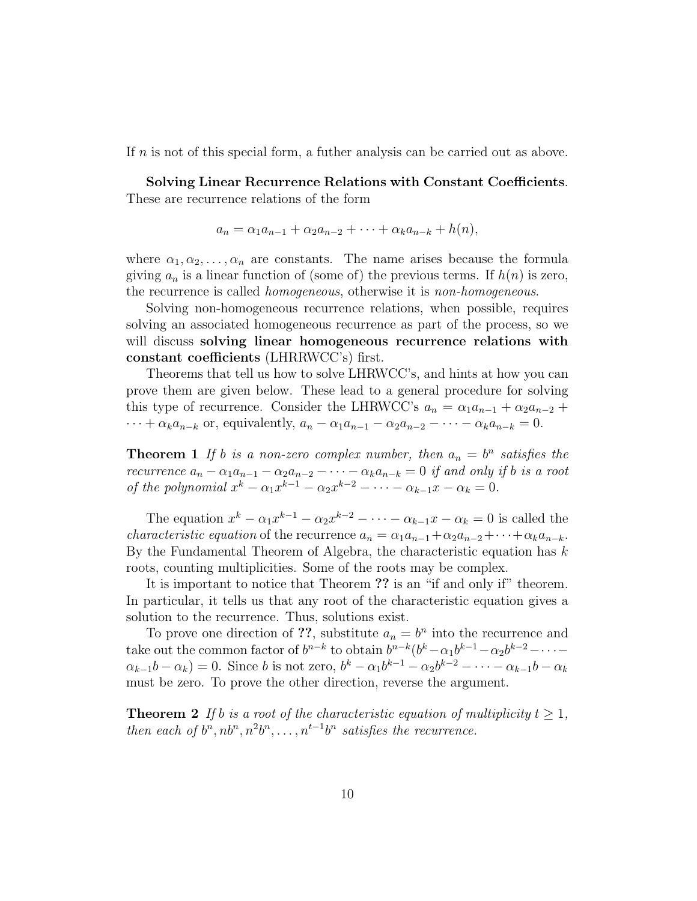If n is not of this special form, a futher analysis can be carried out as above.

Solving Linear Recurrence Relations with Constant Coefficients. These are recurrence relations of the form

$$
a_n = \alpha_1 a_{n-1} + \alpha_2 a_{n-2} + \cdots + \alpha_k a_{n-k} + h(n),
$$

where  $\alpha_1, \alpha_2, \ldots, \alpha_n$  are constants. The name arises because the formula giving  $a_n$  is a linear function of (some of) the previous terms. If  $h(n)$  is zero, the recurrence is called homogeneous, otherwise it is non-homogeneous.

Solving non-homogeneous recurrence relations, when possible, requires solving an associated homogeneous recurrence as part of the process, so we will discuss solving linear homogeneous recurrence relations with constant coefficients (LHRRWCC's) first.

Theorems that tell us how to solve LHRWCC's, and hints at how you can prove them are given below. These lead to a general procedure for solving this type of recurrence. Consider the LHRWCC's  $a_n = \alpha_1 a_{n-1} + \alpha_2 a_{n-2}$  $\cdots + \alpha_k a_{n-k}$  or, equivalently,  $a_n - \alpha_1 a_{n-1} - \alpha_2 a_{n-2} - \cdots - \alpha_k a_{n-k} = 0$ .

**Theorem 1** If b is a non-zero complex number, then  $a_n = b^n$  satisfies the recurrence  $a_n - \alpha_1 a_{n-1} - \alpha_2 a_{n-2} - \cdots - \alpha_k a_{n-k} = 0$  if and only if b is a root of the polynomial  $x^k - \alpha_1 x^{k-1} - \alpha_2 x^{k-2} - \cdots - \alpha_{k-1} x - \alpha_k = 0$ .

The equation  $x^k - \alpha_1 x^{k-1} - \alpha_2 x^{k-2} - \cdots - \alpha_{k-1} x - \alpha_k = 0$  is called the *characteristic equation* of the recurrence  $a_n = \alpha_1 a_{n-1} + \alpha_2 a_{n-2} + \cdots + \alpha_k a_{n-k}$ . By the Fundamental Theorem of Algebra, the characteristic equation has  $k$ roots, counting multiplicities. Some of the roots may be complex.

It is important to notice that Theorem ?? is an "if and only if" theorem. In particular, it tells us that any root of the characteristic equation gives a solution to the recurrence. Thus, solutions exist.

To prove one direction of ??, substitute  $a_n = b^n$  into the recurrence and take out the common factor of  $b^{n-k}$  to obtain  $b^{n-k}(b^k - \alpha_1 b^{k-1} - \alpha_2 b^{k-2} - \cdots \alpha_{k-1}b-\alpha_k$ ) = 0. Since b is not zero,  $b^k-\alpha_1b^{k-1}-\alpha_2b^{k-2}-\cdots-\alpha_{k-1}b-\alpha_k$ must be zero. To prove the other direction, reverse the argument.

**Theorem 2** If b is a root of the characteristic equation of multiplicity  $t > 1$ , then each of  $b^n$ ,  $nb^n$ ,  $n^2b^n$ , ...,  $n^{t-1}b^n$  satisfies the recurrence.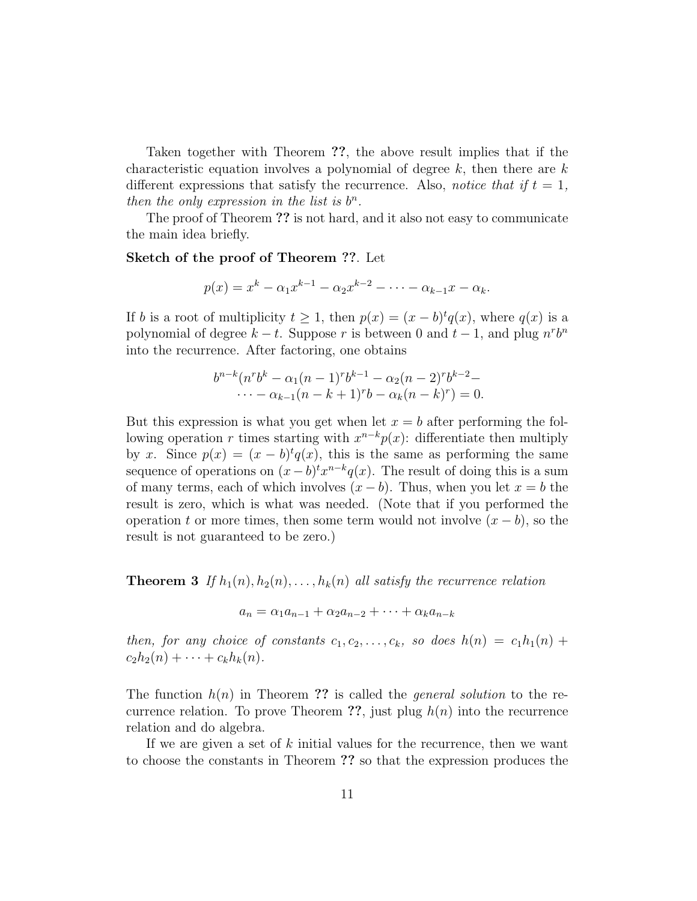Taken together with Theorem ??, the above result implies that if the characteristic equation involves a polynomial of degree  $k$ , then there are  $k$ different expressions that satisfy the recurrence. Also, *notice that if*  $t = 1$ , then the only expression in the list is  $b^n$ .

The proof of Theorem ?? is not hard, and it also not easy to communicate the main idea briefly.

#### Sketch of the proof of Theorem ??. Let

$$
p(x) = x^{k} - \alpha_1 x^{k-1} - \alpha_2 x^{k-2} - \dots - \alpha_{k-1} x - \alpha_k.
$$

If b is a root of multiplicity  $t \geq 1$ , then  $p(x) = (x - b)^t q(x)$ , where  $q(x)$  is a polynomial of degree  $k - t$ . Suppose r is between 0 and  $t - 1$ , and plug  $n^r b^n$ into the recurrence. After factoring, one obtains

$$
b^{n-k}(n^r b^k - \alpha_1 (n-1)^r b^{k-1} - \alpha_2 (n-2)^r b^{k-2} - \cdots - \alpha_{k-1} (n-k+1)^r b - \alpha_k (n-k)^r) = 0.
$$

But this expression is what you get when let  $x = b$  after performing the following operation r times starting with  $x^{n-k}p(x)$ : differentiate then multiply by x. Since  $p(x) = (x - b)^t q(x)$ , this is the same as performing the same sequence of operations on  $(x - b)^t x^{n-k} q(x)$ . The result of doing this is a sum of many terms, each of which involves  $(x - b)$ . Thus, when you let  $x = b$  the result is zero, which is what was needed. (Note that if you performed the operation t or more times, then some term would not involve  $(x - b)$ , so the result is not guaranteed to be zero.)

**Theorem 3** If  $h_1(n), h_2(n), \ldots, h_k(n)$  all satisfy the recurrence relation

$$
a_n = \alpha_1 a_{n-1} + \alpha_2 a_{n-2} + \dots + \alpha_k a_{n-k}
$$

then, for any choice of constants  $c_1, c_2, \ldots, c_k$ , so does  $h(n) = c_1h_1(n) +$  $c_2h_2(n) + \cdots + c_kh_k(n).$ 

The function  $h(n)$  in Theorem ?? is called the *general solution* to the recurrence relation. To prove Theorem ??, just plug  $h(n)$  into the recurrence relation and do algebra.

If we are given a set of  $k$  initial values for the recurrence, then we want to choose the constants in Theorem ?? so that the expression produces the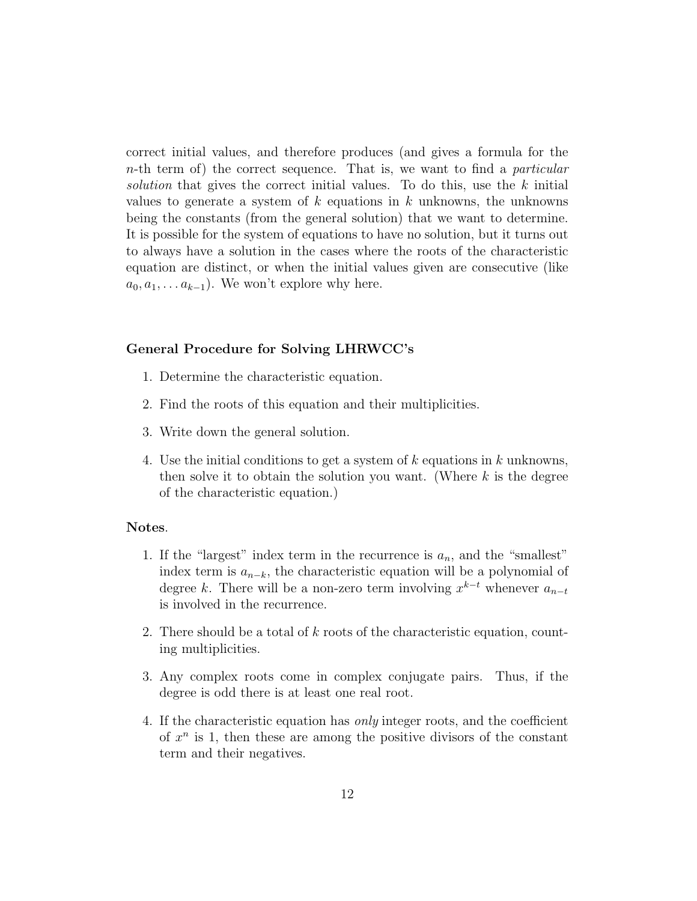correct initial values, and therefore produces (and gives a formula for the n-th term of) the correct sequence. That is, we want to find a particular solution that gives the correct initial values. To do this, use the  $k$  initial values to generate a system of  $k$  equations in  $k$  unknowns, the unknowns being the constants (from the general solution) that we want to determine. It is possible for the system of equations to have no solution, but it turns out to always have a solution in the cases where the roots of the characteristic equation are distinct, or when the initial values given are consecutive (like  $a_0, a_1, \ldots a_{k-1}$ ). We won't explore why here.

#### General Procedure for Solving LHRWCC's

- 1. Determine the characteristic equation.
- 2. Find the roots of this equation and their multiplicities.
- 3. Write down the general solution.
- 4. Use the initial conditions to get a system of k equations in k unknowns, then solve it to obtain the solution you want. (Where  $k$  is the degree of the characteristic equation.)

#### Notes.

- 1. If the "largest" index term in the recurrence is  $a_n$ , and the "smallest" index term is  $a_{n-k}$ , the characteristic equation will be a polynomial of degree k. There will be a non-zero term involving  $x^{k-t}$  whenever  $a_{n-t}$ is involved in the recurrence.
- 2. There should be a total of k roots of the characteristic equation, counting multiplicities.
- 3. Any complex roots come in complex conjugate pairs. Thus, if the degree is odd there is at least one real root.
- 4. If the characteristic equation has only integer roots, and the coefficient of  $x^n$  is 1, then these are among the positive divisors of the constant term and their negatives.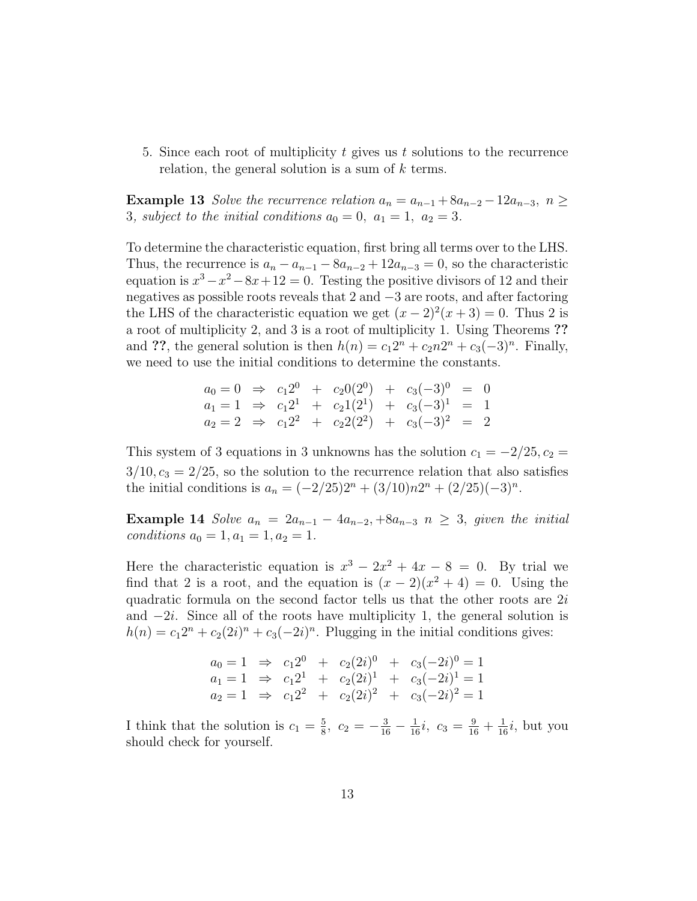5. Since each root of multiplicity  $t$  gives us  $t$  solutions to the recurrence relation, the general solution is a sum of  $k$  terms.

Example 13 Solve the recurrence relation  $a_n = a_{n-1} + 8a_{n-2} - 12a_{n-3}, n \geq$ 3, subject to the initial conditions  $a_0 = 0$ ,  $a_1 = 1$ ,  $a_2 = 3$ .

To determine the characteristic equation, first bring all terms over to the LHS. Thus, the recurrence is  $a_n - a_{n-1} - 8a_{n-2} + 12a_{n-3} = 0$ , so the characteristic equation is  $x^3 - x^2 - 8x + 12 = 0$ . Testing the positive divisors of 12 and their negatives as possible roots reveals that 2 and −3 are roots, and after factoring the LHS of the characteristic equation we get  $(x-2)^2(x+3) = 0$ . Thus 2 is a root of multiplicity 2, and 3 is a root of multiplicity 1. Using Theorems ?? and ??, the general solution is then  $h(n) = c_1 2^n + c_2 n 2^n + c_3 (-3)^n$ . Finally, we need to use the initial conditions to determine the constants.

$$
a_0 = 0 \Rightarrow c_1 2^0 + c_2 0 (2^0) + c_3 (-3)^0 = 0
$$
  
\n
$$
a_1 = 1 \Rightarrow c_1 2^1 + c_2 1 (2^1) + c_3 (-3)^1 = 1
$$
  
\n
$$
a_2 = 2 \Rightarrow c_1 2^2 + c_2 2 (2^2) + c_3 (-3)^2 = 2
$$

This system of 3 equations in 3 unknowns has the solution  $c_1 = -2/25, c_2 =$  $3/10$ ,  $c_3 = 2/25$ , so the solution to the recurrence relation that also satisfies the initial conditions is  $a_n = (-2/25)2^n + (3/10)n2^n + (2/25)(-3)^n$ .

Example 14 Solve  $a_n = 2a_{n-1} - 4a_{n-2} + 8a_{n-3}$   $n \geq 3$ , given the initial conditions  $a_0 = 1, a_1 = 1, a_2 = 1.$ 

Here the characteristic equation is  $x^3 - 2x^2 + 4x - 8 = 0$ . By trial we find that 2 is a root, and the equation is  $(x-2)(x^2+4) = 0$ . Using the quadratic formula on the second factor tells us that the other roots are  $2i$ and −2i. Since all of the roots have multiplicity 1, the general solution is  $h(n) = c_1 2^n + c_2(2i)^n + c_3(-2i)^n$ . Plugging in the initial conditions gives:

$$
a_0 = 1 \Rightarrow c_1 2^0 + c_2 (2i)^0 + c_3 (-2i)^0 = 1
$$
  
\n
$$
a_1 = 1 \Rightarrow c_1 2^1 + c_2 (2i)^1 + c_3 (-2i)^1 = 1
$$
  
\n
$$
a_2 = 1 \Rightarrow c_1 2^2 + c_2 (2i)^2 + c_3 (-2i)^2 = 1
$$

I think that the solution is  $c_1 = \frac{5}{8}$  $\frac{5}{8}$ ,  $c_2 = -\frac{3}{16} - \frac{1}{16}i$ ,  $c_3 = \frac{9}{16} + \frac{1}{16}i$ , but you should check for yourself.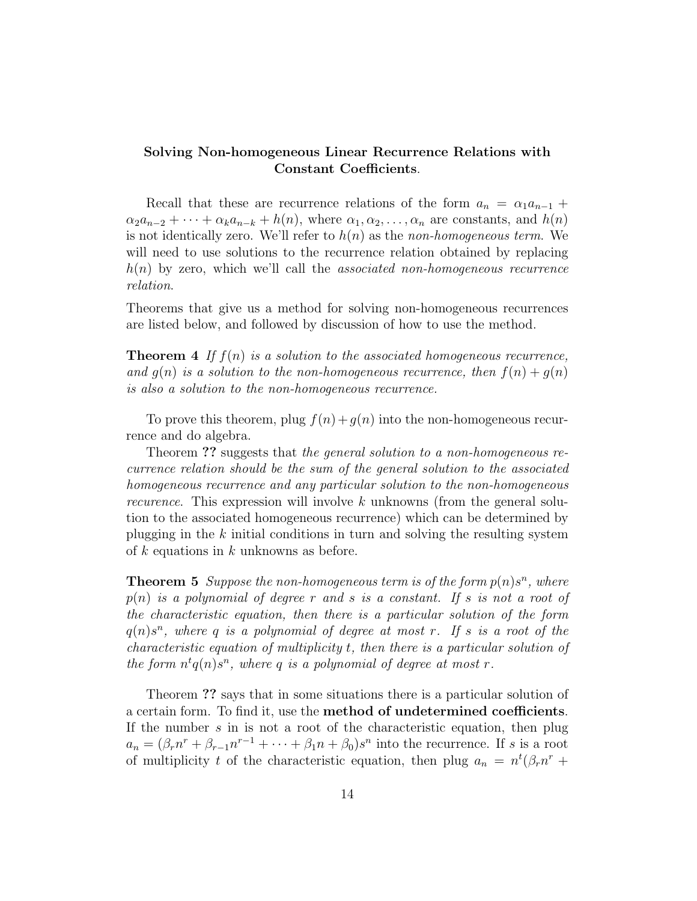### Solving Non-homogeneous Linear Recurrence Relations with Constant Coefficients.

Recall that these are recurrence relations of the form  $a_n = \alpha_1 a_{n-1} +$  $\alpha_2 a_{n-2} + \cdots + \alpha_k a_{n-k} + h(n)$ , where  $\alpha_1, \alpha_2, \ldots, \alpha_n$  are constants, and  $h(n)$ is not identically zero. We'll refer to  $h(n)$  as the non-homogeneous term. We will need to use solutions to the recurrence relation obtained by replacing  $h(n)$  by zero, which we'll call the *associated non-homogeneous recurrence* relation.

Theorems that give us a method for solving non-homogeneous recurrences are listed below, and followed by discussion of how to use the method.

**Theorem 4** If  $f(n)$  is a solution to the associated homogeneous recurrence, and  $g(n)$  is a solution to the non-homogeneous recurrence, then  $f(n) + g(n)$ is also a solution to the non-homogeneous recurrence.

To prove this theorem, plug  $f(n) + g(n)$  into the non-homogeneous recurrence and do algebra.

Theorem ?? suggests that the general solution to a non-homogeneous recurrence relation should be the sum of the general solution to the associated homogeneous recurrence and any particular solution to the non-homogeneous *recurence.* This expression will involve  $k$  unknowns (from the general solution to the associated homogeneous recurrence) which can be determined by plugging in the  $k$  initial conditions in turn and solving the resulting system of k equations in k unknowns as before.

**Theorem 5** Suppose the non-homogeneous term is of the form  $p(n)s^n$ , where  $p(n)$  is a polynomial of degree r and s is a constant. If s is not a root of the characteristic equation, then there is a particular solution of the form  $q(n)s^n$ , where q is a polynomial of degree at most r. If s is a root of the characteristic equation of multiplicity t, then there is a particular solution of the form  $n^t q(n) s^n$ , where q is a polynomial of degree at most r.

Theorem ?? says that in some situations there is a particular solution of a certain form. To find it, use the method of undetermined coefficients. If the number  $s$  in is not a root of the characteristic equation, then plug  $a_n = (\beta_r n^r + \beta_{r-1} n^{r-1} + \cdots + \beta_1 n + \beta_0) s^n$  into the recurrence. If s is a root of multiplicity t of the characteristic equation, then plug  $a_n = n^t(\beta_r n^r +$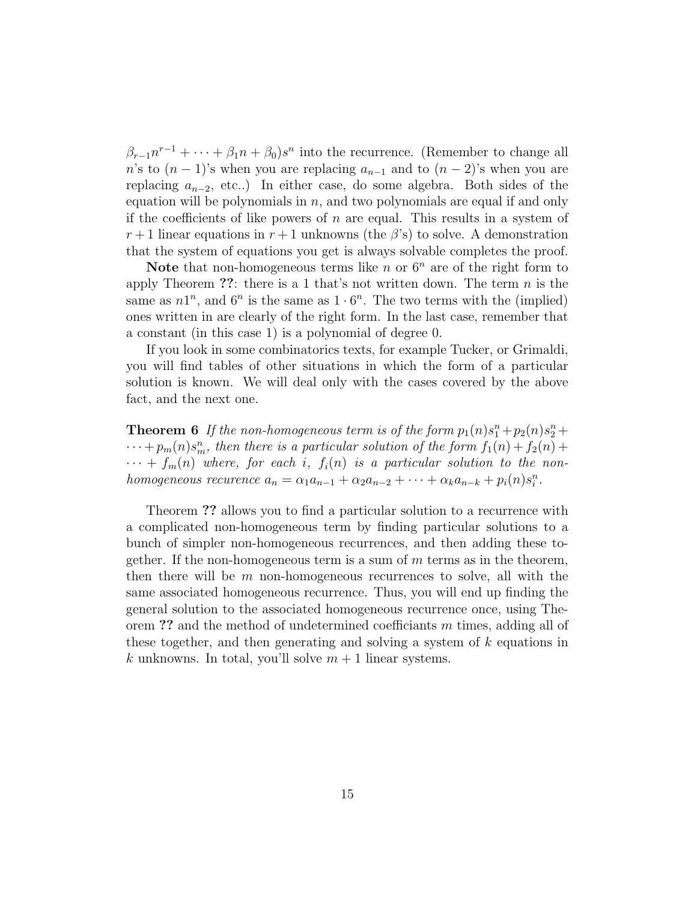$\beta_{r-1}n^{r-1} + \cdots + \beta_1n + \beta_0)s^n$  into the recurrence. (Remember to change all n's to  $(n-1)$ 's when you are replacing  $a_{n-1}$  and to  $(n-2)$ 's when you are replacing  $a_{n-2}$ , etc..) In either case, do some algebra. Both sides of the equation will be polynomials in  $n$ , and two polynomials are equal if and only if the coefficients of like powers of  $n$  are equal. This results in a system of  $r+1$  linear equations in  $r+1$  unknowns (the  $\beta$ 's) to solve. A demonstration that the system of equations you get is always solvable completes the proof.

Note that non-homogeneous terms like n or  $6^n$  are of the right form to apply Theorem ??: there is a 1 that's not written down. The term  $n$  is the same as  $n1^n$ , and  $6^n$  is the same as  $1 \cdot 6^n$ . The two terms with the (implied) ones written in are clearly of the right form. In the last case, remember that a constant (in this case 1) is a polynomial of degree 0.

If you look in some combinatorics texts, for example Tucker, or Grimaldi, you will find tables of other situations in which the form of a particular solution is known. We will deal only with the cases covered by the above fact, and the next one.

**Theorem 6** If the non-homogeneous term is of the form  $p_1(n)s_1^n + p_2(n)s_2^n +$  $\cdots + p_m(n) s_m^n$ , then there is a particular solution of the form  $f_1(n) + f_2(n) +$  $\cdots + f_m(n)$  where, for each i,  $f_i(n)$  is a particular solution to the nonhomogeneous recurence  $a_n = \alpha_1 a_{n-1} + \alpha_2 a_{n-2} + \cdots + \alpha_k a_{n-k} + p_i(n) s_i^n$ .

Theorem ?? allows you to find a particular solution to a recurrence with a complicated non-homogeneous term by finding particular solutions to a bunch of simpler non-homogeneous recurrences, and then adding these together. If the non-homogeneous term is a sum of  $m$  terms as in the theorem, then there will be  $m$  non-homogeneous recurrences to solve, all with the same associated homogeneous recurrence. Thus, you will end up finding the general solution to the associated homogeneous recurrence once, using Theorem ?? and the method of undetermined coefficiants  $m$  times, adding all of these together, and then generating and solving a system of k equations in k unknowns. In total, you'll solve  $m + 1$  linear systems.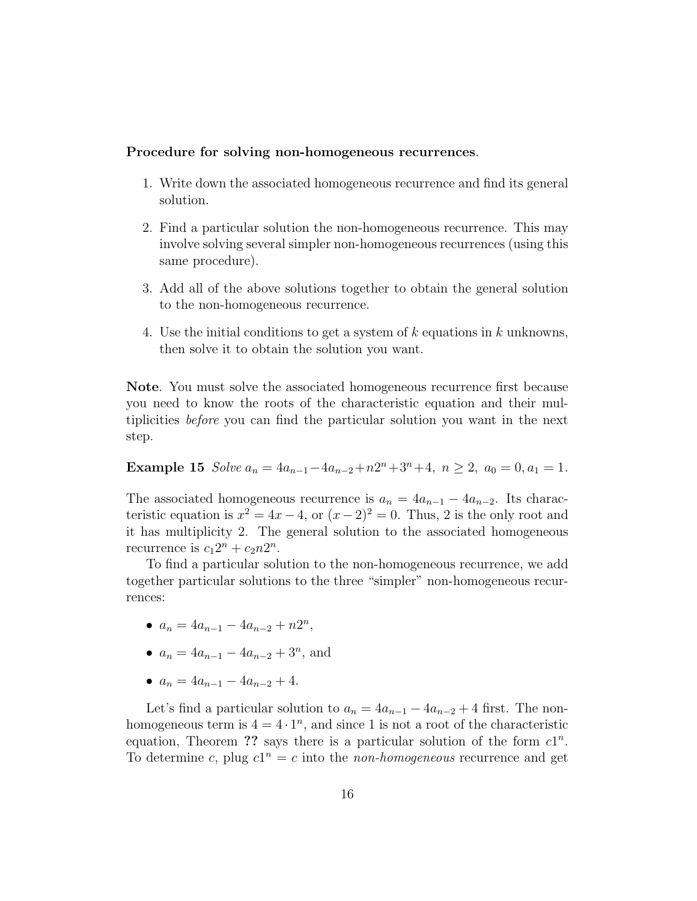#### Procedure for solving non-homogeneous recurrences.

- 1. Write down the associated homogeneous recurrence and find its general solution.
- 2. Find a particular solution the non-homogeneous recurrence. This may involve solving several simpler non-homogeneous recurrences (using this same procedure).
- 3. Add all of the above solutions together to obtain the general solution to the non-homogeneous recurrence.
- 4. Use the initial conditions to get a system of  $k$  equations in  $k$  unknowns, then solve it to obtain the solution you want.

Note. You must solve the associated homogeneous recurrence first because you need to know the roots of the characteristic equation and their multiplicities before you can find the particular solution you want in the next step.

Example 15 Solve  $a_n = 4a_{n-1} - 4a_{n-2} + n2^n + 3^n + 4$ ,  $n \ge 2$ ,  $a_0 = 0$ ,  $a_1 = 1$ .

The associated homogeneous recurrence is  $a_n = 4a_{n-1} - 4a_{n-2}$ . Its characteristic equation is  $x^2 = 4x - 4$ , or  $(x - 2)^2 = 0$ . Thus, 2 is the only root and it has multiplicity 2. The general solution to the associated homogeneous recurrence is  $c_1 2^n + c_2 n 2^n$ .

To find a particular solution to the non-homogeneous recurrence, we add together particular solutions to the three "simpler" non-homogeneous recurrences:

- $a_n = 4a_{n-1} 4a_{n-2} + n2^n$ ,
- $a_n = 4a_{n-1} 4a_{n-2} + 3^n$ , and
- $a_n = 4a_{n-1} 4a_{n-2} + 4.$

Let's find a particular solution to  $a_n = 4a_{n-1} - 4a_{n-2} + 4$  first. The nonhomogeneous term is  $4 = 4 \cdot 1^n$ , and since 1 is not a root of the characteristic equation, Theorem ?? says there is a particular solution of the form  $c1^n$ . To determine c, plug  $c1^n = c$  into the *non-homogeneous* recurrence and get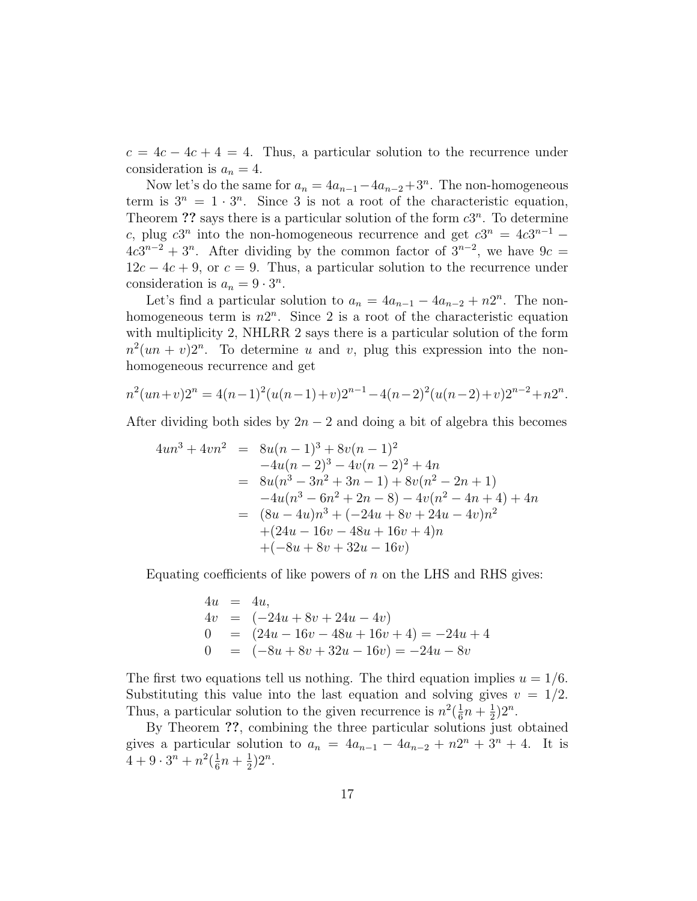$c = 4c - 4c + 4 = 4$ . Thus, a particular solution to the recurrence under consideration is  $a_n = 4$ .

Now let's do the same for  $a_n = 4a_{n-1} - 4a_{n-2} + 3^n$ . The non-homogeneous term is  $3^n = 1 \cdot 3^n$ . Since 3 is not a root of the characteristic equation, Theorem ?? says there is a particular solution of the form  $c3^n$ . To determine c, plug c3<sup>n</sup> into the non-homogeneous recurrence and get  $c3^n = 4c3^{n-1}$  $4c3^{n-2} + 3^n$ . After dividing by the common factor of  $3^{n-2}$ , we have  $9c =$  $12c - 4c + 9$ , or  $c = 9$ . Thus, a particular solution to the recurrence under consideration is  $a_n = 9 \cdot 3^n$ .

Let's find a particular solution to  $a_n = 4a_{n-1} - 4a_{n-2} + n2^n$ . The nonhomogeneous term is  $n2^n$ . Since 2 is a root of the characteristic equation with multiplicity 2, NHLRR 2 says there is a particular solution of the form  $n^2(un + v)2^n$ . To determine u and v, plug this expression into the nonhomogeneous recurrence and get

$$
n^{2}(un+v)2^{n} = 4(n-1)^{2}(u(n-1)+v)2^{n-1} - 4(n-2)^{2}(u(n-2)+v)2^{n-2} + n2^{n}.
$$

After dividing both sides by  $2n-2$  and doing a bit of algebra this becomes

$$
4un3 + 4vn2 = 8u(n - 1)3 + 8v(n - 1)2
$$
  
\n
$$
-4u(n - 2)3 - 4v(n - 2)2 + 4n
$$
  
\n
$$
= 8u(n3 - 3n2 + 3n - 1) + 8v(n2 - 2n + 1)
$$
  
\n
$$
-4u(n3 - 6n2 + 2n - 8) - 4v(n2 - 4n + 4) + 4n
$$
  
\n
$$
= (8u - 4u)n3 + (-24u + 8v + 24u - 4v)n2
$$
  
\n
$$
+ (24u - 16v - 48u + 16v + 4)n
$$
  
\n
$$
+ (-8u + 8v + 32u - 16v)
$$

Equating coefficients of like powers of  $n$  on the LHS and RHS gives:

$$
4u = 4u,
$$
  
\n
$$
4v = (-24u + 8v + 24u - 4v)
$$
  
\n
$$
0 = (24u - 16v - 48u + 16v + 4) = -24u + 4
$$
  
\n
$$
0 = (-8u + 8v + 32u - 16v) = -24u - 8v
$$

The first two equations tell us nothing. The third equation implies  $u = 1/6$ . Substituting this value into the last equation and solving gives  $v = 1/2$ . Thus, a particular solution to the given recurrence is  $n^2(\frac{1}{6})$  $\frac{1}{6}n + \frac{1}{2}$  $(\frac{1}{2})2^n$ .

By Theorem ??, combining the three particular solutions just obtained gives a particular solution to  $a_n = 4a_{n-1} - 4a_{n-2} + n2^n + 3^n + 4$ . It is  $4+9\cdot3^n+n^2(\frac{1}{6}$  $\frac{1}{6}n + \frac{1}{2}$  $(\frac{1}{2})2^n$ .